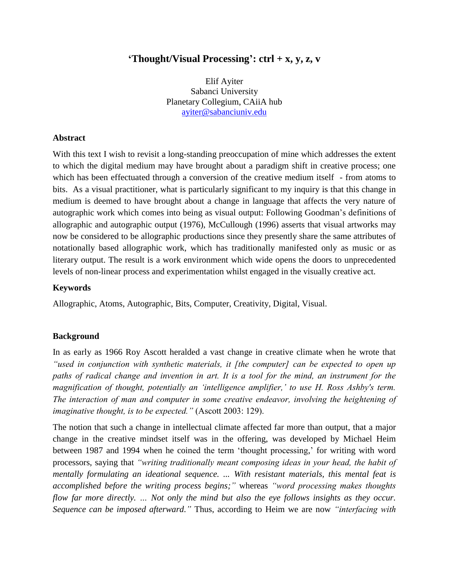**'Thought/Visual Processing': ctrl + x, y, z, v**

Elif Ayiter Sabanci University Planetary Collegium, CAiiA hub [ayiter@sabanciuniv.edu](mailto:ayiter@sabanciuniv.edu)

### **Abstract**

With this text I wish to revisit a long-standing preoccupation of mine which addresses the extent to which the digital medium may have brought about a paradigm shift in creative process; one which has been effectuated through a conversion of the creative medium itself - from atoms to bits. As a visual practitioner, what is particularly significant to my inquiry is that this change in medium is deemed to have brought about a change in language that affects the very nature of autographic work which comes into being as visual output: Following Goodman's definitions of allographic and autographic output (1976), McCullough (1996) asserts that visual artworks may now be considered to be allographic productions since they presently share the same attributes of notationally based allographic work, which has traditionally manifested only as music or as literary output. The result is a work environment which wide opens the doors to unprecedented levels of non-linear process and experimentation whilst engaged in the visually creative act.

### **Keywords**

Allographic, Atoms, Autographic, Bits, Computer, Creativity, Digital, Visual.

#### **Background**

In as early as 1966 Roy Ascott heralded a vast change in creative climate when he wrote that *"used in conjunction with synthetic materials, it [the computer] can be expected to open up paths of radical change and invention in art. It is a tool for the mind, an instrument for the magnification of thought, potentially an "intelligence amplifier," to use H. Ross Ashby's term. The interaction of man and computer in some creative endeavor, involving the heightening of imaginative thought, is to be expected."* (Ascott 2003: 129).

The notion that such a change in intellectual climate affected far more than output, that a major change in the creative mindset itself was in the offering, was developed by Michael Heim between 1987 and 1994 when he coined the term 'thought processing,' for writing with word processors, saying that *"writing traditionally meant composing ideas in your head, the habit of mentally formulating an ideational sequence. ... With resistant materials, this mental feat is accomplished before the writing process begins;"* whereas *"word processing makes thoughts flow far more directly. … Not only the mind but also the eye follows insights as they occur. Sequence can be imposed afterward."* Thus, according to Heim we are now *"interfacing with*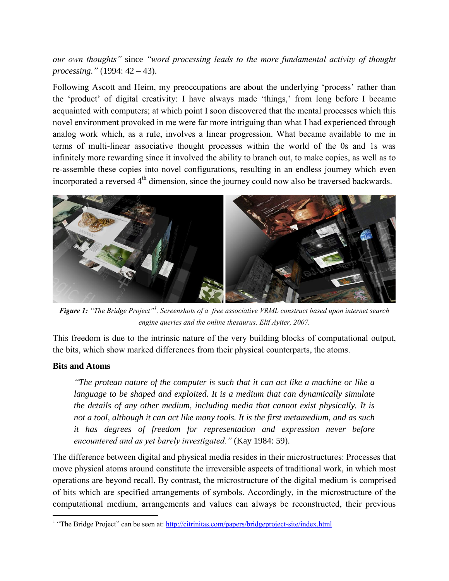*our own thoughts"* since *"word processing leads to the more fundamental activity of thought processing."* (1994: 42 – 43).

Following Ascott and Heim, my preoccupations are about the underlying 'process' rather than the "product" of digital creativity: I have always made "things," from long before I became acquainted with computers; at which point I soon discovered that the mental processes which this novel environment provoked in me were far more intriguing than what I had experienced through analog work which, as a rule, involves a linear progression. What became available to me in terms of multi-linear associative thought processes within the world of the 0s and 1s was infinitely more rewarding since it involved the ability to branch out, to make copies, as well as to re-assemble these copies into novel configurations, resulting in an endless journey which even incorporated a reversed  $4<sup>th</sup>$  dimension, since the journey could now also be traversed backwards.



*Figure 1: "The Bridge Project"<sup>1</sup> . Screenshots of a free associative VRML construct based upon internet search engine queries and the online thesaurus. Elif Ayiter, 2007.*

This freedom is due to the intrinsic nature of the very building blocks of computational output, the bits, which show marked differences from their physical counterparts, the atoms.

## **Bits and Atoms**

 $\overline{a}$ 

*"The protean nature of the computer is such that it can act like a machine or like a language to be shaped and exploited. It is a medium that can dynamically simulate the details of any other medium, including media that cannot exist physically. It is not a tool, although it can act like many tools. It is the first metamedium, and as such it has degrees of freedom for representation and expression never before encountered and as yet barely investigated."* (Kay 1984: 59).

The difference between digital and physical media resides in their microstructures: Processes that move physical atoms around constitute the irreversible aspects of traditional work, in which most operations are beyond recall. By contrast, the microstructure of the digital medium is comprised of bits which are specified arrangements of symbols. Accordingly, in the microstructure of the computational medium, arrangements and values can always be reconstructed, their previous

<sup>&</sup>lt;sup>1</sup> "The Bridge Project" can be seen at:<http://citrinitas.com/papers/bridgeproject-site/index.html>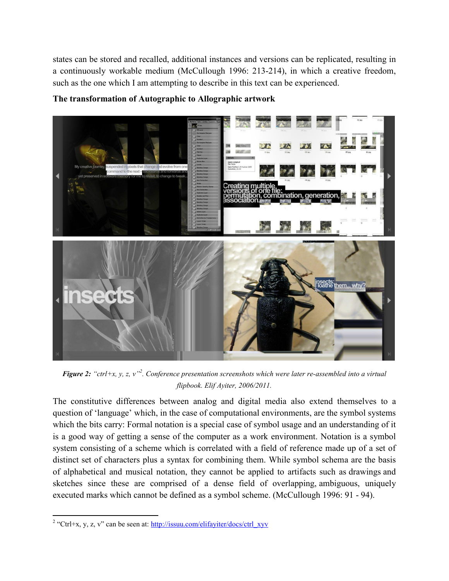states can be stored and recalled, additional instances and versions can be replicated, resulting in a continuously workable medium (McCullough 1996: 213-214), in which a creative freedom, such as the one which I am attempting to describe in this text can be experienced.



**The transformation of Autographic to Allographic artwork**

*Figure 2: "ctrl+x, y, z, v*<sup>2</sup>. Conference presentation screenshots which were later re-assembled into a virtual *flipbook. Elif Ayiter, 2006/2011.*

The constitutive differences between analog and digital media also extend themselves to a question of "language" which, in the case of computational environments, are the symbol systems which the bits carry: Formal notation is a special case of symbol usage and an understanding of it is a good way of getting a sense of the computer as a work environment. Notation is a symbol system consisting of a scheme which is correlated with a field of reference made up of a set of distinct set of characters plus a syntax for combining them. While symbol schema are the basis of alphabetical and musical notation, they cannot be applied to artifacts such as drawings and sketches since these are comprised of a dense field of overlapping, ambiguous, uniquely executed marks which cannot be defined as a symbol scheme. (McCullough 1996: 91 - 94).

 $\overline{a}$ 

<sup>&</sup>lt;sup>2</sup> "Ctrl+x, y, z, v" can be seen at:  $\frac{http://issuu.com/elifaviter/docs/ctrl-xyv}{$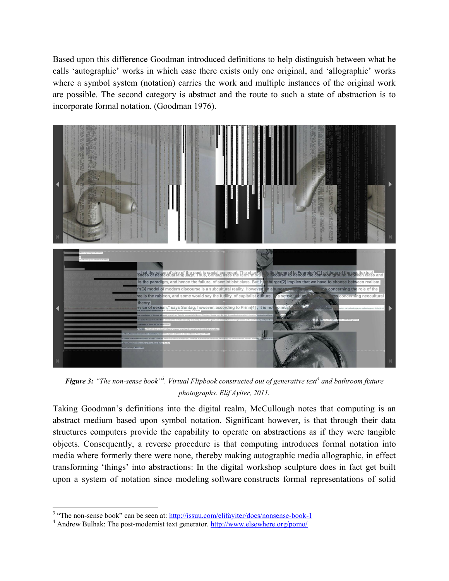Based upon this difference Goodman introduced definitions to help distinguish between what he calls "autographic" works in which case there exists only one original, and "allographic" works where a symbol system (notation) carries the work and multiple instances of the original work are possible. The second category is abstract and the route to such a state of abstraction is to incorporate formal notation. (Goodman 1976).



*Figure 3: "The non-sense book"<sup>3</sup> . Virtual Flipbook constructed out of generative text<sup>4</sup> and bathroom fixture photographs. Elif Ayiter, 2011.*

Taking Goodman"s definitions into the digital realm, McCullough notes that computing is an abstract medium based upon symbol notation. Significant however, is that through their data structures computers provide the capability to operate on abstractions as if they were tangible objects. Consequently, a reverse procedure is that computing introduces formal notation into media where formerly there were none, thereby making autographic media allographic, in effect transforming "things" into abstractions: In the digital workshop sculpture does in fact get built upon a system of notation since modeling software constructs formal representations of solid

 $\overline{a}$ 

<sup>&</sup>lt;sup>3</sup> "The non-sense book" can be seen at[: http://issuu.com/elifayiter/docs/nonsense-book-1](http://issuu.com/elifayiter/docs/nonsense-book-1)

<sup>&</sup>lt;sup>4</sup> Andrew Bulhak: The post-modernist text generator.<http://www.elsewhere.org/pomo/>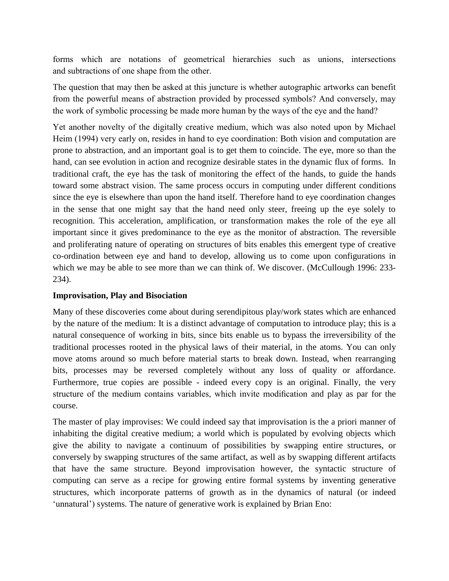forms which are notations of geometrical hierarchies such as unions, intersections and subtractions of one shape from the other.

The question that may then be asked at this juncture is whether autographic artworks can benefit from the powerful means of abstraction provided by processed symbols? And conversely, may the work of symbolic processing be made more human by the ways of the eye and the hand?

Yet another novelty of the digitally creative medium, which was also noted upon by Michael Heim (1994) very early on, resides in hand to eye coordination: Both vision and computation are prone to abstraction, and an important goal is to get them to coincide. The eye, more so than the hand, can see evolution in action and recognize desirable states in the dynamic flux of forms. In traditional craft, the eye has the task of monitoring the effect of the hands, to guide the hands toward some abstract vision. The same process occurs in computing under different conditions since the eye is elsewhere than upon the hand itself. Therefore hand to eye coordination changes in the sense that one might say that the hand need only steer, freeing up the eye solely to recognition. This acceleration, amplification, or transformation makes the role of the eye all important since it gives predominance to the eye as the monitor of abstraction. The reversible and proliferating nature of operating on structures of bits enables this emergent type of creative co-ordination between eye and hand to develop, allowing us to come upon configurations in which we may be able to see more than we can think of. We discover. (McCullough 1996: 233-234).

# **Improvisation, Play and Bisociation**

Many of these discoveries come about during serendipitous play/work states which are enhanced by the nature of the medium: It is a distinct advantage of computation to introduce play; this is a natural consequence of working in bits, since bits enable us to bypass the irreversibility of the traditional processes rooted in the physical laws of their material, in the atoms. You can only move atoms around so much before material starts to break down. Instead, when rearranging bits, processes may be reversed completely without any loss of quality or affordance. Furthermore, true copies are possible - indeed every copy is an original. Finally, the very structure of the medium contains variables, which invite modification and play as par for the course.

The master of play improvises: We could indeed say that improvisation is the a priori manner of inhabiting the digital creative medium; a world which is populated by evolving objects which give the ability to navigate a continuum of possibilities by swapping entire structures, or conversely by swapping structures of the same artifact, as well as by swapping different artifacts that have the same structure. Beyond improvisation however, the syntactic structure of computing can serve as a recipe for growing entire formal systems by inventing generative structures, which incorporate patterns of growth as in the dynamics of natural (or indeed 'unnatural') systems. The nature of generative work is explained by Brian Eno: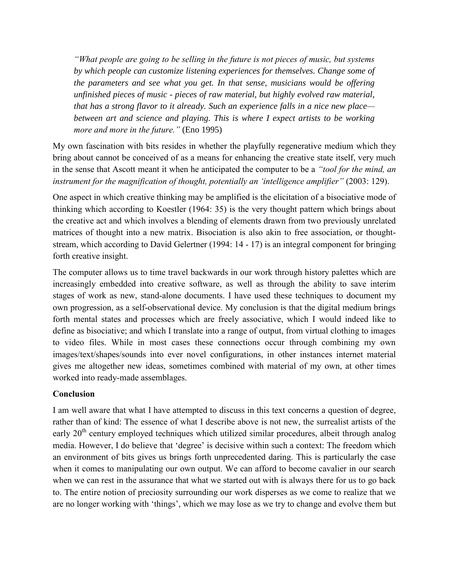*"What people are going to be selling in the future is not pieces of music, but systems by which people can customize listening experiences for themselves. Change some of the parameters and see what you get. In that sense, musicians would be offering unfinished pieces of music - pieces of raw material, but highly evolved raw material, that has a strong flavor to it already. Such an experience falls in a nice new place between art and science and playing. This is where I expect artists to be working more and more in the future."* (Eno 1995)

My own fascination with bits resides in whether the playfully regenerative medium which they bring about cannot be conceived of as a means for enhancing the creative state itself, very much in the sense that Ascott meant it when he anticipated the computer to be a *"tool for the mind, an instrument for the magnification of thought, potentially an "intelligence amplifier"* (2003: 129).

One aspect in which creative thinking may be amplified is the elicitation of a bisociative mode of thinking which according to Koestler (1964: 35) is the very thought pattern which brings about the creative act and which involves a blending of elements drawn from two previously unrelated matrices of thought into a new matrix. Bisociation is also akin to free association, or thoughtstream, which according to David Gelertner (1994: 14 - 17) is an integral component for bringing forth creative insight.

The computer allows us to time travel backwards in our work through history palettes which are increasingly embedded into creative software, as well as through the ability to save interim stages of work as new, stand-alone documents. I have used these techniques to document my own progression, as a self-observational device. My conclusion is that the digital medium brings forth mental states and processes which are freely associative, which I would indeed like to define as bisociative; and which I translate into a range of output, from virtual clothing to images to video files. While in most cases these connections occur through combining my own images/text/shapes/sounds into ever novel configurations, in other instances internet material gives me altogether new ideas, sometimes combined with material of my own, at other times worked into ready-made assemblages.

# **Conclusion**

I am well aware that what I have attempted to discuss in this text concerns a question of degree, rather than of kind: The essence of what I describe above is not new, the surrealist artists of the early  $20<sup>th</sup>$  century employed techniques which utilized similar procedures, albeit through analog media. However, I do believe that "degree" is decisive within such a context: The freedom which an environment of bits gives us brings forth unprecedented daring. This is particularly the case when it comes to manipulating our own output. We can afford to become cavalier in our search when we can rest in the assurance that what we started out with is always there for us to go back to. The entire notion of preciosity surrounding our work disperses as we come to realize that we are no longer working with "things", which we may lose as we try to change and evolve them but